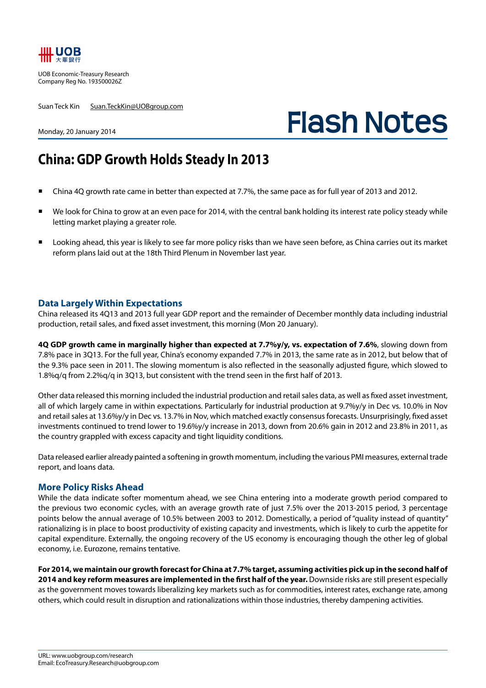

UOB Economic-Treasury Research Company Reg No. 193500026Z

Suan Teck Kin Suan.TeckKin@UOBgroup.com

## **Flash Notes**

Monday, 20 January 2014

## **China: GDP Growth Holds Steady In 2013**

- China 4Q growth rate came in better than expected at 7.7%, the same pace as for full year of 2013 and 2012.
- We look for China to grow at an even pace for 2014, with the central bank holding its interest rate policy steady while letting market playing a greater role.
- Looking ahead, this year is likely to see far more policy risks than we have seen before, as China carries out its market reform plans laid out at the 18th Third Plenum in November last year.

## **Data Largely Within Expectations**

China released its 4Q13 and 2013 full year GDP report and the remainder of December monthly data including industrial production, retail sales, and fixed asset investment, this morning (Mon 20 January).

**4Q GDP growth came in marginally higher than expected at 7.7%y/y, vs. expectation of 7.6%**, slowing down from 7.8% pace in 3Q13. For the full year, China's economy expanded 7.7% in 2013, the same rate as in 2012, but below that of the 9.3% pace seen in 2011. The slowing momentum is also reflected in the seasonally adjusted figure, which slowed to 1.8%q/q from 2.2%q/q in 3Q13, but consistent with the trend seen in the first half of 2013.

Other data released this morning included the industrial production and retail sales data, as well as fixed asset investment, all of which largely came in within expectations. Particularly for industrial production at 9.7%y/y in Dec vs. 10.0% in Nov and retail sales at 13.6%y/y in Dec vs. 13.7% in Nov, which matched exactly consensus forecasts. Unsurprisingly, fixed asset investments continued to trend lower to 19.6%y/y increase in 2013, down from 20.6% gain in 2012 and 23.8% in 2011, as the country grappled with excess capacity and tight liquidity conditions.

Data released earlier already painted a softening in growth momentum, including the various PMI measures, external trade report, and loans data.

## **More Policy Risks Ahead**

While the data indicate softer momentum ahead, we see China entering into a moderate growth period compared to the previous two economic cycles, with an average growth rate of just 7.5% over the 2013-2015 period, 3 percentage points below the annual average of 10.5% between 2003 to 2012. Domestically, a period of "quality instead of quantity" rationalizing is in place to boost productivity of existing capacity and investments, which is likely to curb the appetite for capital expenditure. Externally, the ongoing recovery of the US economy is encouraging though the other leg of global economy, i.e. Eurozone, remains tentative.

**For 2014, we maintain our growth forecast for China at 7.7% target, assuming activities pick up in the second half of 2014 and key reform measures are implemented in the first half of the year.** Downside risks are still present especially as the government moves towards liberalizing key markets such as for commodities, interest rates, exchange rate, among others, which could result in disruption and rationalizations within those industries, thereby dampening activities.